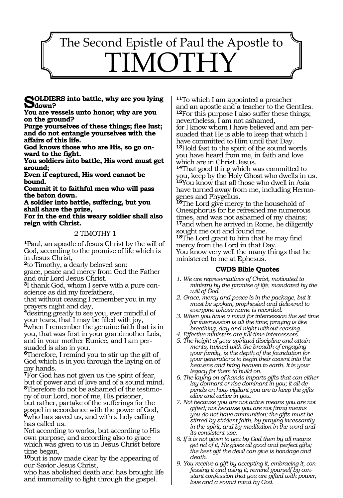# 1513 The Second Epistle of Paul the Apostle to MOTH

**SOLDIERS** into battle, why are you lying **D**down?

**You are vessels unto honor; why are you on the ground?**

**Purge yourselves of these things; flee lust; and do not entangle yourselves with the affairs of this life.**

**God knows those who are His, so go onward to the fight.**

**You soldiers into battle, His word must get around;**

**Even if captured, His word cannot be bound.**

**Commit it to faithful men who will pass the baton down.**

**A soldier into battle, suffering, but you shall share the prize,**

**For in the end this weary soldier shall also reign with Christ.**

#### 2 TIMOTHY 1

**<sup>1</sup>**Paul, an apostle of Jesus Christ by the will of God, according to the promise of life which is in Jesus Christ,

**<sup>2</sup>**to Timothy, a dearly beloved son:

grace, peace and mercy from God the Father and our Lord Jesus Christ.

**3**I thank God, whom I serve with a pure conscience as did my forefathers,

that without ceasing I remember you in my prayers night and day,

**<sup>4</sup>**desiring greatly to see you, ever mindful of your tears, that I may be filled with joy,

**<sup>5</sup>**when I remember the genuine faith that is in you, that was first in your grandmother Lois, and in your mother Eunice, and I am persuaded is also in you.

**<sup>6</sup>**Therefore, I remind you to stir up the gift of God which is in you through the laying on of my hands.

**<sup>7</sup>**For God has not given us the spirit of fear, but of power and of love and of a sound mind. **8**Therefore do not be ashamed of the testimo-

ny of our Lord, nor of me, His prisoner, but rather, partake of the sufferings for the gospel in accordance with the power of God, **<sup>9</sup>**who has saved us, and with a holy calling has called us.

Not according to works, but according to His own purpose, and according also to grace which was given to us in Jesus Christ before time began,

**<sup>10</sup>**but is now made clear by the appearing of our Savior Jesus Christ,

who has abolished death and has brought life and immortality to light through the gospel.

**<sup>11</sup>**To which I am appointed a preacher and an apostle and a teacher to the Gentiles. **<sup>12</sup>**For this purpose I also suffer these things;

nevertheless, I am not ashamed, for I know whom I have believed and am persuaded that He is able to keep that which I have committed to Him until that Day. **<sup>13</sup>**Hold fast to the spirit of the sound words you have heard from me, in faith and love which are in Christ Jesus.

**<sup>14</sup>**That good thing which was committed to you, keep by the Holy Ghost who dwells in us. **<sup>15</sup>**You know that all those who dwell in Asia have turned away from me, including Hermogenes and Phygellus.

**<sup>16</sup>**The Lord give mercy to the household of Onesiphorus for he refreshed me numerous times, and was not ashamed of my chains; **<sup>17</sup>**and when he arrived in Rome, he diligently sought me out and found me.

**<sup>18</sup>**The Lord grant to him that he may find mercy from the Lord in that Day. You know very well the many things that he ministered to me at Ephesus.

#### **CWDS Bible Quotes**

- *1. We are representatives of Christ, motivated to ministry by the promise of life, mandated by the will of God.*
- *2. Grace, mercy and peace is in the package, but it must be spoken, prophesied and delivered to everyone whose name is recorded.*
- *3. When you have a mind for intercession the set time for intercession is all the time; praying is like breathing, day and night without ceasing.*
- *4. Effective ministers are full-time intercessors.*
- *5. The height of your spiritual discipline and attainments, twined with the breadth of engaging your family, is the depth of the foundation for your generations to begin their ascent into the heavens and bring heaven to earth. It is your legacy for them to build on.*
- *6. The laying on of hands imparts gifts that can either lay dormant or rise dominant in you; it all depends on how vigilant you are to keep the gifts alive and active in you.*
- *7. Not because you are not active means you are not gifted; not because you are not firing means you do not have ammunition; the gifts must be stirred by strident faith, by praying incessantly in the spirit, and by meditation in the word and its consistent use.*
- *8. If it is not given to you by God then by all means get rid of it; He gives all good and perfect gifts; the best gift the devil can give is bondage and death.*
- *9. You receive a gift by accepting it, embracing it, confessing it and using it; remind yourself by constant confession that you are gifted with power, love and a sound mind by God.*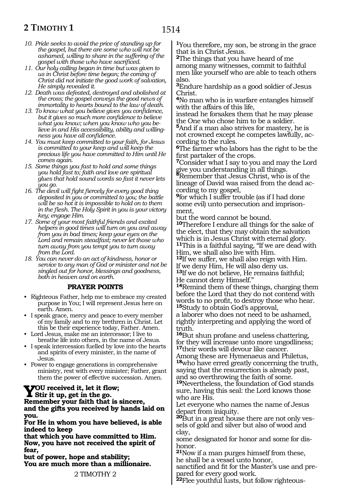## **2 TIMOTHY 1**

- *10. Pride seeks to avoid the price of standing up for the gospel, but there are some who will not be ashamed, willing to share in the suffering of the gospel with those who have sacrificed.*
- *11. Our holy calling began in time but was given to us in Christ before time began; the coming of Christ did not initiate the good work of salvation, He simply revealed it.*
- *12. Death was defeated, destroyed and abolished at the cross; the gospel conveys the good news of immortality to hearts bound to the law of death.*
- *13. To know what you believe gives you confidence, but it gives so much more confidence to believe what you know; when you know who you believe in and His accessibility, ability and willingness you have all confidence.*
- *14. You must keep committed to your faith, for Jesus is committed to your keep and will keep the precious life you have committed to Him until He comes again.*
- *15. Some things you fast to hold and some things you hold fast to; faith and love are spiritual glues that hold sound words so fast it never lets you go.*
- *16. The devil will fight fiercely for every good thing deposited in you or committed to you; the battle will be so hot it is impossible to hold on to them in the flesh. The Holy Spirit in you is your victory key; engage Him.*
- *17. Some of your most faithful friends and excited helpers in good times will turn on you and away from you in bad times; keep your eyes on the Lord and remain steadfast; never let those who turn away from you tempt you to turn away from the Lord.*
- *18. You can never do an act of kindness, honor or service to any man of God or minister and not be singled out for honor, blessings and goodness, both in heaven and on earth.*

#### **PRAYER POINTS**

- Righteous Father, help me to embrace my created purpose in You; I will represent Jesus here on earth. Amen.
- I speak grace, mercy and peace to every member of my family and to my brethren in Christ. Let this be their experience today, Father. Amen.
- Lord Jesus, make me an intercessor; I live to breathe life into others, in the name of Jesus.
- I speak intercession fuelled by love into the hearts and spirits of every minister, in the name of Jesus.
- Power to engage generations in comprehensive ministry, rest with every minister; Father, grant them the power of effective succession. Amen.

### **You received it, let it flow; Stir it up, get in the go. Remember your faith that is sincere, and the gifts you received by hands laid on**

**you. For He in whom you have believed, is able indeed to keep**

**that which you have committed to Him. Now, you have not received the spirit of fear,** 

**but of power, hope and stability; You are much more than a millionaire.**

2 TIMOTHY 2

**<sup>1</sup>**You therefore, my son, be strong in the grace that is in Christ Jesus.

**<sup>2</sup>**The things that you have heard of me among many witnesses, commit to faithful men like yourself who are able to teach others also.

**<sup>3</sup>**Endure hardship as a good soldier of Jesus Christ.

**<sup>4</sup>**No man who is in warfare entangles himself with the affairs of this life,

instead he forsakes them that he may please the One who chose him to be a soldier.

**<sup>5</sup>**And if a man also strives for mastery, he is not crowned except he competes lawfully, according to the rules.

**<sup>6</sup>**The farmer who labors has the right to be the first partaker of the crops.

**<sup>7</sup>**Consider what I say to you and may the Lord

give you understanding in all things. **<sup>8</sup>**Remember that Jesus Christ, who is of the lineage of David was raised from the dead according to my gospel,

**<sup>9</sup>**for which I suffer trouble (as if I had done some evil) unto persecution and imprisonment,

but the word cannot be bound.

**<sup>10</sup>**Therefore I endure all things for the sake of the elect, that they may obtain the salvation which is in Jesus Christ with eternal glory. **<sup>11</sup>**This is a faithful saying, "If we are dead with Him, we shall also live with Him.

**<sup>12</sup>**If we suffer, we shall also reign with Him. If we deny Him, He will also deny us. **<sup>13</sup>**If we do not believe, He remains faithful; He cannot deny Himself."

**<sup>14</sup>**Remind them of these things, charging them before the Lord that they do not contend with words to no profit, to destroy those who hear. **<sup>15</sup>**Study to obtain God's approval,

a laborer who does not need to be ashamed, rightly interpreting and applying the word of truth.

**<sup>16</sup>**But shun profane and useless chattering, for they will increase unto more ungodliness; **<sup>17</sup>**their words will devour like cancer.

Among these are Hymenaeus and Philetus, **<sup>18</sup>**who have erred greatly concerning the truth, saying that the resurrection is already past, and so overthrowing the faith of some.

**<sup>19</sup>**Nevertheless, the foundation of God stands sure, having this seal: the Lord knows those who are His.

Let everyone who names the name of Jesus depart from iniquity.

**20**But in a great house there are not only vessels of gold and silver but also of wood and clay,

some designated for honor and some for dishonor.

**<sup>21</sup>**Now if a man purges himself from these, he shall be a vessel unto honor,

sanctified and fit for the Master's use and prepared for every good work.

**22**Flee youthful lusts, but follow righteous-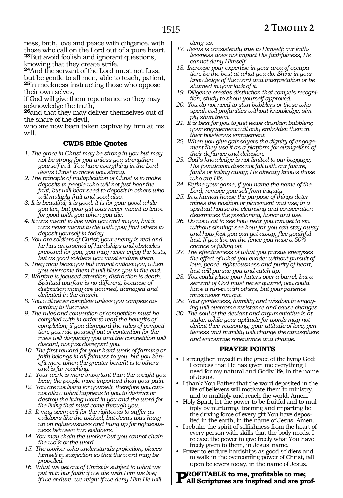## **2 TIMOTHY 2**

ness, faith, love and peace with diligence, with those who call on the Lord out of a pure heart. **<sup>23</sup>**But avoid foolish and ignorant questions, knowing that they create strife.

**<sup>24</sup>**And the servant of the Lord must not fuss, but be gentle to all men, able to teach, patient, **<sup>25</sup>**in meekness instructing those who oppose their own selves,

if God will give them repentance so they may acknowledge the truth,

**<sup>26</sup>**and that they may deliver themselves out of the snare of the devil,

who are now been taken captive by him at his will.

#### **CWDS Bible Quotes**

- *1. The grace in Christ may be strong in you but may not be strong for you unless you strengthen yourself in it. You have everything in the Lord Jesus Christ to make you strong.*
- *2. The principle of multiplication of Christ is to make deposits in people who will not just bear the fruit, but will bear seed to deposit in others who will multiply fruit and seed also.*
- *3. It is beautiful; it is good; it is for your good while you live, but your gift was never meant to leave for good with you when you die.*
- *4. It was meant to live with you and in you, but it was never meant to die with you; find others to deposit yourself in today.*
- *5. You are soldiers of Christ; your enemy is real and he has an arsenal of hardships and obstacles prepared for you; you may never enjoy the tests, but as good soldiers you must endure them.*
- *6. They may blast you but cannot outlast you; when you overcome them it will bless you in the end.*
- *7. Warfare is focused attention; distraction is death. Spiritual warfare is no different; because of distraction many are downed, damaged and defeated in the church.*
- *8. You will never complete unless you compete according to the rules.*
- *9. The rules and convention of competition must be complied with in order to reap the benefits of completion; if you disregard the rules of competition, you rule yourself out of contention for the rules will disqualify you and the competition will discard, not just disregard you.*
- *10. The first reward for your hard work of farming or faith belongs in all fairness to you, but you benefit more when the greater benefit is to others and is far-reaching.*
- *11. Your work is more important than the weight you bear; the people more important than your pain.*
- *12. You are not living for yourself, therefore you cannot allow what happens to you to distract or destroy the living word in you and the word for the living that must come through you.*
- *13. It may seem evil for the righteous to suffer as evildoers like the wicked, but Jesus was hung up on righteousness and hung up for righteousness between two evildoers.*
- *14. You may chain the worker but you cannot chain the work or the word.*
- *15. The worker who understands projection, places himself in subjection so that the word may be propelled.*
- *16. What we get out of Christ is subject to what we put in to our faith: if we die with Him we live; if we endure, we reign; if we deny Him He will*

*deny us.*

- *17. Jesus is consistently true to Himself; our faithlessness does not impact His faithfulness, He cannot deny Himself.*
- *18. Increase your expertise in your area of occupation; be the best at what you do. Shine in your knowledge of the word and interpretation or be shamed in your lack of it.*
- *19. Diligence creates distinction that compels recognition; study to show yourself approved.*
- *20. You do not need to stun babblers or those who speak evil profanities without knowledge; simply shun them.*
- *21. It is best for you to just leave drunken babblers; your engagement will only embolden them in their boisterous enragement.*
- *22. When you give gainsayers the dignity of engagement they use it as a platform for evangelism of their defiance and delusion.*
- *23. God's knowledge is not limited to our baggage; His foundation does not fall with our failure, faults or falling away; He already knows those who are His.*
- *24. Refine your game, if you name the name of the Lord; remove yourself from iniquity.*
- *25. In a human house the purpose of things determines the position or placement and use; in a spiritual house the cleansing and consecration determines the positioning, honor and use.*
- *26. Do not wait to see how near you can get to sin without sinning; see how far you can stay away and how fast you can get away; flee youthful lust. If you live on the fence you have a 50% chance of falling off.*
- *27. The effectiveness of what you pursue energizes the effect of what you evade; without pursuit of love, peace, righteousness and purity of heart, lust will pursue you and catch up.*
- *28. You could place your haters over a barrel, but a servant of God must never quarrel; you could have a run-in with others, but your patience must never run out.*
- *29. Your gentleness, humility and wisdom in engaging will overcome resistance and cause changes.*
- *30. The soul of the deviant and argumentative is at stake; while your aptitude for words may not defeat their reasoning; your attitude of love, gentleness and humility will change the atmosphere and encourage repentance and change.*

#### **PRAYER POINTS**

- I strengthen myself in the grace of the living God; I confess that He has given me everything I need for my natural and Godly life, in the name of Jesus.
- I thank You Father that the word deposited in the life of believers will motivate them to ministry, and to multiply and reach the world. Amen.
- Holy Spirit, let the power to be fruitful and to multiply by nurturing, training and imparting be the driving force of every gift You have deposited in the earth, in the name of Jesus. Amen.
- I rebuke the spirit of selfishness from the heart of every person with skills that the body needs. I release the power to give freely what You have freely given to them, in Jesus' name.
- Power to endure hardships as good soldiers and to walk in the overcoming power of Christ, fall upon believers today, in the name of Jesus.

#### **Profitable to me, profitable to me; All Scriptures are inspired and are prof-**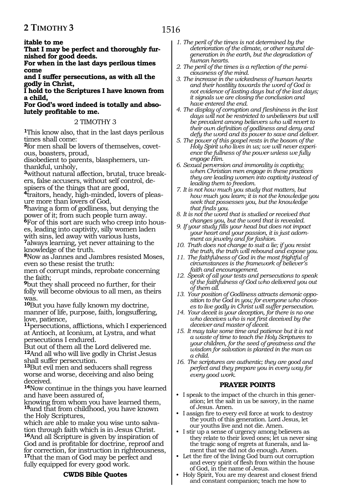#### **itable to me**

**That I may be perfect and thoroughly furnished for good deeds.**

**For when in the last days perilous times come**

**and I suffer persecutions, as with all the godly in Christ,**

**I hold to the Scriptures I have known from a child,**

**For God's word indeed is totally and absolutely profitable to me.**

#### 2 TIMOTHY 3

**<sup>1</sup>**This know also, that in the last days perilous times shall come:

**2**for men shall be lovers of themselves, covetous, boasters, proud,

disobedient to parents, blasphemers, unthankful, unholy,

**3**without natural affection, brutal, truce breakers, false accusers, without self control, despisers of the things that are good,

**4**traitors, heady, high-minded, lovers of pleasure more than lovers of God,

**<sup>5</sup>**having a form of godliness, but denying the power of it; from such people turn away.

**6**For of this sort are such who creep into houses, leading into captivity, silly women laden with sins, led away with various lusts,

**<sup>7</sup>**always learning, yet never attaining to the knowledge of the truth.

**<sup>8</sup>**Now as Jannes and Jambres resisted Moses, even so these resist the truth:

men of corrupt minds, reprobate concerning the faith;

**<sup>9</sup>**but they shall proceed no further, for their folly will become obvious to all men, as theirs was.

**<sup>10</sup>**But you have fully known my doctrine, manner of life, purpose, faith, longsuffering, love, patience,

**<sup>11</sup>**persecutions, afflictions, which I experienced at Antioch, at Iconium, at Lystra, and what persecutions I endured.

But out of them all the Lord delivered me. **<sup>12</sup>**And all who will live godly in Christ Jesus shall suffer persecution.

**<sup>13</sup>**But evil men and seducers shall regress worse and worse, deceiving and also being deceived.

**<sup>14</sup>**Now continue in the things you have learned and have been assured of,

knowing from whom you have learned them, **<sup>15</sup>**and that from childhood, you have known the Holy Scriptures,

which are able to make you wise unto salvation through faith which is in Jesus Christ. **<sup>16</sup>**And all Scripture is given by inspiration of God and is profitable for doctrine, reproof and for correction, for instruction in righteousness, **<sup>17</sup>**that the man of God may be perfect and fully equipped for every good work.

#### **CWDS Bible Quotes**

- *1. The peril of the times is not determined by the deterioration of the climate, or other natural degeneration in the earth, but the degradation of human hearts.*
- *2. The peril of the times is a reflection of the perniciousness of the mind.*
- *3. The increase in the wickedness of human hearts and their hostility towards the word of God is not evidence of lasting days but of the last days; it signals we are closing the conclusion and have entered the end.*
- *4. The display of corruption and fleshiness in the last days will not be restricted to unbelievers but will be prevalent among believers who will revert to their own definition of godliness and deny and defy the word and its power to save and deliver.*
- *5. The power of this gospel rests in the bosom of the Holy Spirit who lives in us; we will never experience the fullness of the power unless we fully engage Him.*
- *6. Sexual perversion and immorality is captivity; when Christian men engage in these practices they are leading women into captivity instead of leading them to freedom.*
- *7. It is not how much you study that matters, but how much you learn; it is not the knowledge you seek that possesses you, but the knowledge that finds you.*
- *8. It is not the word that is studied or received that changes you, but the word that is revealed.*
- *9. If your study fills your head but does not impact your heart and your passion, it is just adornment as jewelry and for fashion.*
- *10. Truth does not change to suit a lie; if you resist the truth, the truth will rebound and expose you.*
- *11. The faithfulness of God in the most frightful of circumstances is the framework of believer's faith and encouragement.*
- *12. Speak of all your tests and persecutions to speak of the faithfulness of God who delivered you out of them all.*
- *13. Your position of Godliness attracts demonic opposition to the God in you; for everyone who chooses to live godly in Christ will suffer persecution.*
- *14. Your deceit is your deception, for there is no one who deceives who is not first deceived by the deceiver and master of deceit.*
- *15. It may take some time and patience but it is not a waste of time to teach the Holy Scriptures to your children, for the seed of greatness and the wisdom for salvation is planted in the man as a child.*
- *16. The scriptures are authentic; they are good and perfect and they prepare you in every way for every good work.*

#### **PRAYER POINTS**

- I speak to the impact of the church in this generation; let the salt in us be savory, in the name of Jesus. Amen.
- I assign fire to every evil force at work to destroy the youth of this generation. Lord Jesus, let our youths live and not die. Amen.
- I stir up a sense of urgency among believers as they relate to their loved ones; let us never sing the tragic song of regrets at funerals, and lament that we did not do enough. Amen.
- Let the fire of the living God burn out corruption and every spirit of flesh from within the house of God, in the name of Jesus.
- Holy Spirit, You are my dearest and closest friend and constant companion; teach me how to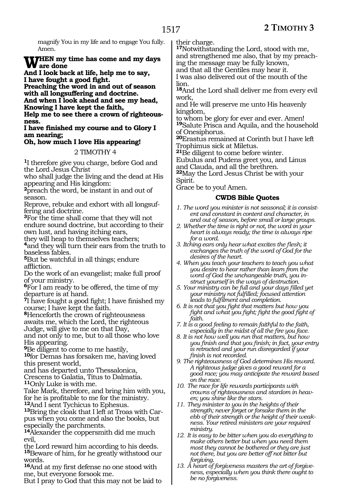magnify You in my life and to engage You fully. Amen.

# WHEN my time has come and my days<br> **And I** look both of life help me to see

**And I look back at life, help me to say, I have fought a good fight.** 

**Preaching the word in and out of season with all longsuffering and doctrine.** 

**And when I look ahead and see my head, Knowing I have kept the faith,** 

**Help me to see there a crown of righteousness.**

**I have finished my course and to Glory I am nearing;** 

### **Oh, how much I love His appearing!**

#### 2 TIMOTHY 4

**<sup>1</sup>**I therefore give you charge, before God and the Lord Jesus Christ

who shall judge the living and the dead at His appearing and His kingdom:

**<sup>2</sup>**preach the word, be instant in and out of season.

Reprove, rebuke and exhort with all longsuffering and doctrine.

**<sup>3</sup>**For the time shall come that they will not endure sound doctrine, but according to their own lust, and having itching ears,

they will heap to themselves teachers; **<sup>4</sup>**and they will turn their ears from the truth to baseless fables.

**<sup>5</sup>**But be watchful in all things; endure affliction.

Do the work of an evangelist; make full proof of your ministry.

**<sup>6</sup>**For I am ready to be offered, the time of my departure is at hand.

**<sup>7</sup>**I have fought a good fight; I have finished my course; I have kept the faith.

**<sup>8</sup>**Henceforth the crown of righteousness awaits me, which the Lord, the righteous

Judge, will give to me on that Day,

and not only to me, but to all those who love His appearing.

**<sup>9</sup>**Be diligent to come to me hastily, **<sup>10</sup>**for Demas has forsaken me, having loved this present world,

and has departed unto Thessalonica, Crescens to Galatia, Titus to Dalmatia. **<sup>11</sup>**Only Luke is with me.

Take Mark, therefore, and bring him with you, for he is profitable to me for the ministry.<br><sup>12</sup>And I sent Tychicus to Ephesus.

**13**Bring the cloak that I left at Troas with Carpus when you come and also the books, but especially the parchments.

**<sup>14</sup>**Alexander the coppersmith did me much evil,

the Lord reward him according to his deeds. **<sup>15</sup>**Beware of him, for he greatly withstood our words.

**<sup>16</sup>**And at my first defense no one stood with me, but everyone forsook me.

But I pray to God that this may not be laid to

their charge.

**<sup>17</sup>**Notwithstanding the Lord, stood with me, and strengthened me also, that by my preaching the message may be fully known, and that all the Gentiles may hear it.

I was also delivered out of the mouth of the lion.

**<sup>18</sup>**And the Lord shall deliver me from every evil work,

and He will preserve me unto His heavenly kingdom,

to whom be glory for ever and ever. Amen! **<sup>19</sup>**Salute Prisca and Aquila, and the household of Onesiphorus.

**<sup>20</sup>**Erastus remained at Corinth but I have left Trophimus sick at Miletus.

**<sup>21</sup>**Be diligent to come before winter.

Eubulus and Pudens greet you, and Linus and Clauda, and all the brethren.

**<sup>22</sup>**May the Lord Jesus Christ be with your

Spirit.

Grace be to you! Amen.

#### **CWDS Bible Quotes**

- *1. The word you minister is not seasonal; it is consistent and constant in content and character, in and out of season, before small or large groups.*
- *2. Whether the time is right or not, the word in your heart is always ready; the time is always ripe for a word.*
- *3. Itching ears only hear what excites the flesh; it exchanges the truth of the word of God for the desires of the heart.*
- *4. When you teach your teachers to teach you what you desire to hear rather than learn from the word of God the unchangeable truth, you instruct yourself in the ways of destruction.*
- *5. Your ministry can be full and your days filled yet your ministry not fulfilled; focused attention leads to fulfilment and completion.*
- *6. It is not that you fight that matters but how you fight and what you fight; fight the good fight of faith.*
- *7. It is a good feeling to remain faithful to the faith, especially in the midst of all the fire you face.*
- *8. It is not how well you run that matters, but how you finish and that you finish; in fact, your entry is retracted and your run disregarded if your finish is not recorded.*

*9. The righteousness of God determines His reward. A righteous judge gives a good reward for a good race; you may anticipate the reward based on the race.*

- *10. The race for life rewards participants with crowns of righteousness and stardom in heaven; you shine like the stars.*
- *11. They minister to you in the heights of their strength; never forget or forsake them in the ebb of their strength or the height of their weakness. Your retired ministers are your required ministry.*
- *12. It is easy to be bitter when you do everything to make others better but when you need them most they cannot be bothered or they are just not there, but you are better off not bitter but forgiving.*
- *13. A heart of forgiveness masters the art of forgiveness, especially when you think there ought to be no forgiveness.*